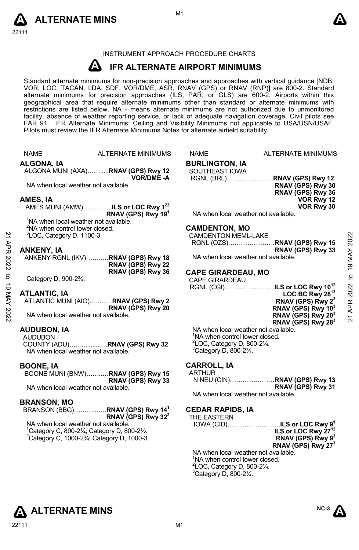



## INSTRUMENT APPROACH PROCEDURE CHARTS

#### **A IFR ALTERNATE AIRPORT MINIMUMS**

Standard alternate minimums for non-precision approaches and approaches with vertical guidance [NDB,<br>VOR, LOC, TACAN, LDA, SDF, VOR/DME, ASR, RNAV (GPS) or RNAV (RNP)] are 800-2. Standard alternate minimums for precision approaches (ILS, PAR, or GLS) are 600-2. Airports within this geographical area that require alternate minimums other than standard or alternate minimums with restrictions are listed below. NA - means alternate minimums are not authorized due to unmonitored facility, absence of weather reporting service, or lack of adequate navigation coverage. Civil pilots see FAR 91. IFR Alternate Minimums: Ceiling and Visibility Minimums not applicable to USA/USN/USAF. Pilots must review the IFR Alternate Minimums Notes for alternate airfield suitability.

### **ALGONA, IA**

ALGONA MUNI (AXA)…….....**RNAV (GPS) Rwy 12 VOR/DME -A** 

NA when local weather not available.

### **AMES, IA**

AMES MUNI (AMW)…………..**ILS or LOC Rwy 123 RNAV (GPS) Rwy 191**

<sup>1</sup>NA when local weather not available.  $2$ NA when control tower closed.

 ${}^{3}$ LOC, Category D, 1100-3.

### **ANKENY, IA**

|         | <sup>3</sup> LOC, Category D, 1100-3. | <b>CAMDENTON MEML-LAKE</b>                |                |
|---------|---------------------------------------|-------------------------------------------|----------------|
|         |                                       |                                           | 2022           |
| AP<br>B | <b>ANKENY, IA</b>                     | RNAV (GPS) Rwy 33                         | ≿              |
|         | ANKENY RGNL (IKV)RNAV (GPS) Rwy 18    | NA when local weather not available.      |                |
| 2022    | RNAV (GPS) Rwy 22                     |                                           | ග              |
|         | RNAV (GPS) Rwy 36                     | <b>CAPE GIRARDEAU, MO</b>                 |                |
| ಕ       | Category D, 900-23/4.                 | <b>CAPE GIRARDEAU</b>                     | ₫              |
| ಕ       |                                       | RGNL (CGI)ILS or LOC Rwy 10 <sup>12</sup> |                |
|         | <b>ATLANTIC, IA</b>                   | LOC BC Rwy 28 <sup>13</sup>               | 2022           |
| XAM     | ATLANTIC MUNI (AIO)RNAV (GPS) Rwy 2   | RNAV (GPS) Rwy 2 <sup>3</sup>             |                |
|         | RNAV (GPS) Rwy 20                     | RNAV (GPS) Rwy 103                        | APR            |
| 2022    | NA when local weather not available.  | RNAV (GPS) Rwy 20 <sup>3</sup>            | $\overline{z}$ |
|         |                                       | $B(1111/0B(1B)-0.0)$                      |                |

### **ATLANTIC, IA**

| ATLANTIC MUNI (AIO)RNAV (GPS) Rwy 2  |                   |
|--------------------------------------|-------------------|
|                                      | RNAV (GPS) Rwy 20 |
| NA when local weather not available. |                   |

**AUDUBON, IA** 

AUDUBON

COUNTY (ADU)…..….........…**RNAV (GPS) Rwy 32**  NA when local weather not available.

### **BOONE, IA**

BOONE MUNI (BNW)……..…**RNAV (GPS) Rwy 15 RNAV (GPS) Rwy 33** 

NA when local weather not available.

### **BRANSON, MO**

#### BRANSON (BBG)………...….**RNAV (GPS) Rwy 141 RNAV (GPS) Rwy 322**

NA when local weather not available.  $1$ Category C, 800-2 $\frac{1}{4}$ ; Category D, 800-2 $\frac{1}{2}$ . 2 Category C, 1000-2¾; Category D, 1000-3.

# ALTERNATE MINIMUMS NAME ALTERNATE MINIMUMS

#### **BURLINGTON, IA**  SOUTHEAST IOWA

 RGNL (BRL)……………….…**RNAV (GPS) Rwy 12 RNAV (GPS) Rwy 30 RNAV (GPS) Rwy 36 VOR Rwy 12 VOR Rwy 30** 

NA when local weather not available.

### **CAMDENTON, MO**

| CAMDENTON MEML-LAKE |                   |
|---------------------|-------------------|
|                     |                   |
|                     | RNAV (GPS) Rwy 33 |

### **CAPE GIRARDEAU, MO**

**LOC BC Rwy 2813 RNAV (GPS) Rwy 23 RNAV (GPS) Rwy 103 RNAV (GPS) Rwy 203 RNAV (GPS) Rwy 283** 

NA when local weather not available. <sup>1</sup>NA when control tower closed. 2 LOC, Category D, 800-2¼.  $3$ Category D, 800-2 $\frac{1}{4}$ .

#### **CARROLL, IA**  ARTHUR

| חטחו חר |                   |
|---------|-------------------|
|         |                   |
|         | RNAV (GPS) Rwy 31 |

NA when local weather not available.

### **CEDAR RAPIDS, IA**

| THE EASTERN                                    |
|------------------------------------------------|
| IOWA (CID) <b>ILS or LOC Rwy 9<sup>1</sup></b> |
| ILS or LOC Rwy 27 <sup>12</sup>                |
| RNAV (GPS) Rwy 9 <sup>3</sup>                  |
| RNAV (GPS) Rwy 27 <sup>3</sup>                 |
| NA when local weather not available.           |
| <sup>1</sup> NA when control tower closed.     |
| ${}^{2}$ LOC, Category D, 800-21⁄4.            |
| $3a + 5a$                                      |



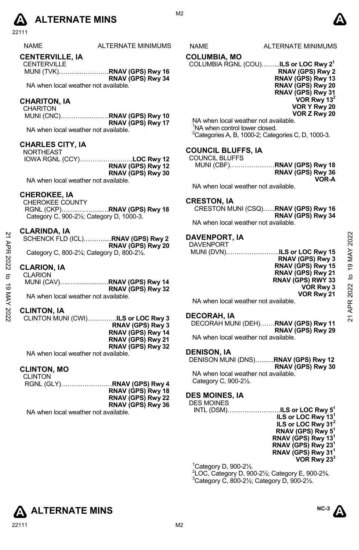

ALTERNATE MINIMUMS NAME ALTERNATE MINIMUMS

### **CENTERVILLE, IA**

**CENTERVILLE** MUNI (TVK)………..………….**RNAV (GPS) Rwy 16 RNAV (GPS) Rwy 34** 

NA when local weather not available.

### **CHARITON, IA**

| <b>CHARITON</b>                     |                             |
|-------------------------------------|-----------------------------|
|                                     | MUNI (CNC)RNAV (GPS) Rwy 10 |
|                                     | RNAV (GPS) Rwy 17           |
| NA when local weather not available |                             |

### **CHARLES CITY, IA**

NORTHEAST IOWA RGNL (CCY)…………………….**LOC Rwy 12 RNAV (GPS) Rwy 12 RNAV (GPS) Rwy 30** 

NA when local weather not available.

### **CHEROKEE, IA**

CHEROKEE COUNTY RGNL (CKP)……..………...…**RNAV (GPS) Rwy 18** Category C, 900-2½; Category D, 1000-3.

### **CLARINDA, IA**

| SCHENCK FLD (ICL)RNAV (GPS) Rwy 2                                     |                   |
|-----------------------------------------------------------------------|-------------------|
|                                                                       | RNAV (GPS) Rwy 20 |
| Category C, 800-21/ <sub>4</sub> ; Category D, 800-21/ <sub>2</sub> . |                   |

### **CLARION, IA**

| <b>CLARION</b>                       |                   |
|--------------------------------------|-------------------|
|                                      |                   |
|                                      | RNAV (GPS) Rwy 32 |
| NA when local weather not available. |                   |

### **CLINTON, IA**

| CLINTON MUNI (CWI)ILS or LOC Rwy 3                              |                          |
|-----------------------------------------------------------------|--------------------------|
|                                                                 | <b>RNAV (GPS) Rwy 3</b>  |
|                                                                 | RNAV (GPS) Rwy 14        |
|                                                                 | RNAV (GPS) Rwy 21        |
|                                                                 | <b>RNAV (GPS) Rwy 32</b> |
| NTA code e activo e di concentra a constituitat e international |                          |

NA when local weather not available.

### **CLINTON, MO**

| CLINTON                              |                   |
|--------------------------------------|-------------------|
|                                      |                   |
|                                      | RNAV (GPS) Rwy 18 |
|                                      | RNAV (GPS) Rwy 22 |
|                                      | RNAV (GPS) Rwy 36 |
| NA when local weather not available. |                   |

### **COLUMBIA, MO**

COLUMBIA RGNL (COU)……...**ILS or LOC Rwy 21**

**RNAV (GPS) Rwy 2 RNAV (GPS) Rwy 13 RNAV (GPS) Rwy 20 RNAV (GPS) Rwy 31 VOR Rwy 13 VOR Y Rwy 20 VOR Z Rwy 20** 

NA when local weather not available. <sup>1</sup>NA when control tower closed. <sup>2</sup> Categories A, B, 1000-2; Categories C, D, 1000-3.

### **COUNCIL BLUFFS, IA**

| <b>COUNCIL BLUFFS</b> |                             |
|-----------------------|-----------------------------|
|                       | MUNI (CBF)RNAV (GPS) Rwy 18 |
|                       | RNAV (GPS) Rwy 36           |
|                       | VOR-A                       |

NA when local weather not available.

### **CRESTON, IA**

CRESTON MUNI (CSQ)…...**RNAV (GPS) Rwy 16 RNAV (GPS) Rwy 34**  NA when local weather not available.

### **DAVENPORT, IA**

| 2      | $V$ -NNIVALIA<br>SCHENCK FLD (ICL)RNAV (GPS) Rwy 2               | <b>DAVENPORT, IA</b><br><b>DAVENPORT</b>           | 2022            |
|--------|------------------------------------------------------------------|----------------------------------------------------|-----------------|
| ЯPR    | RNAV (GPS) Rwy 20<br>Category C, 800-21/4; Category D, 800-21/2. | MUNI (DVN)ILS or LOC Rwy 15<br>RNAV (GPS) Rwy 3    | MAY             |
| 2022   | <b>CLARION, IA</b>                                               | RNAV (GPS) Rwy 15<br>RNAV (GPS) Rwy 21             | $\overline{19}$ |
| ನ<br>ಕ | <b>CLARION</b>                                                   | RNAV (GPS) RWY 33<br><b>VOR Rwy 3</b>              | $\mathbf{c}$    |
| ⋚      | RNAV (GPS) Rwy 32<br>NA when local weather not available.        | VOR Rwy 21<br>NA when local weather not available. | 2022            |
| 2022   | <b>CLINTON, IA</b>                                               | <b>DECORAH, IA</b>                                 | ≃               |
|        | CLINTON MUNI (CWI)ILS or LOC Rwy 3                               |                                                    |                 |

### **DECORAH, IA**

| DECORAH MUNI (DEH)RNAV (GPS) Rwy 11 |
|-------------------------------------|
| RNAV (GPS) Rwy 29                   |
| NA when local weather not available |

### **DENISON, IA**

DENISON MUNI (DNS)….......**RNAV (GPS) Rwy 12 RNAV (GPS) Rwy 30** 

NA when local weather not available. Category C, 900-2½.

### **DES MOINES, IA**

DES MOINES

INTL (DSM)…………………….**ILS or LOC Rwy 51 ILS or LOC Rwy 131 ILS or LOC Rwy 312 RNAV (GPS) Rwy 51 RNAV (GPS) Rwy 131 RNAV (GPS) Rwy 231 RNAV (GPS) Rwy 311 VOR Rwy 233**

1 Category D, 900-2½.

2 LOC, Category D, 900-2½; Category E, 900-2¾. 3  $3$ Category C, 800-2 $\frac{1}{2}$ ; Category D, 900-2 $\frac{1}{2}$ .





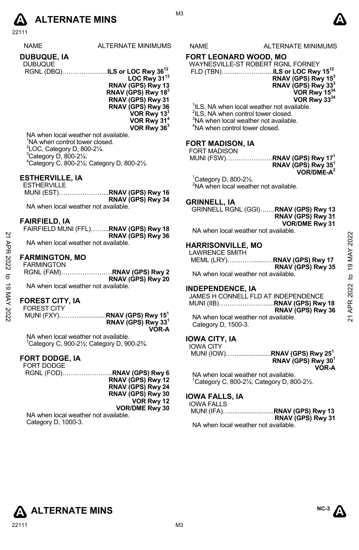

NAME ALTERNATE MINIMUMS NAME ALTERNATE MINIMUMS

**DUBUQUE, IA** 

| <b>DUBUQUE</b> |  |
|----------------|--|
|                |  |

**LOC Rwy 3113 RNAV (GPS) Rwy 13 RNAV (GPS) Rwy 183 RNAV (GPS) Rwy 31 RNAV (GPS) Rwy 36 VOR Rwy 133 VOR Rwy 314 VOR Rwy 363** 

NA when local weather not available. <sup>1</sup>NA when control tower closed.  $2$ LOC, Category D, 800-2 $\frac{1}{4}$ .  $3$ Category D, 800-2 $\frac{1}{4}$ . 4 Category C, 800-2¼; Category D, 800-2½.

### **ESTHERVILLE, IA**

| ESTHERVILLE                          |                   |
|--------------------------------------|-------------------|
|                                      |                   |
|                                      | RNAV (GPS) Rwy 34 |
| NA when local weather not available. |                   |

### **FAIRFIELD, IA**

| FAIRFIELD MUNI (FFL)RNAV (GPS) Rwy 18 |                   |
|---------------------------------------|-------------------|
|                                       | RNAV (GPS) Rwy 36 |
| NA when local weather not available.  |                   |

### **FARMINGTON, MO**

| <b>FARMINGTON</b>                    |                   |
|--------------------------------------|-------------------|
|                                      |                   |
|                                      | RNAV (GPS) Rwy 20 |
| NA when local weather not available. |                   |

### **FOREST CITY, IA**

| <b>FOREST CITY</b> |                                |
|--------------------|--------------------------------|
|                    |                                |
|                    | RNAV (GPS) Rwy 33 <sup>1</sup> |
|                    | <b>VOR-A</b>                   |

NA when local weather not available. 1 Category C, 900-2½; Category D, 900-2¾.

### **FORT DODGE, IA**

FORT DODGE RGNL (FOD)…………………...**RNAV (GPS) Rwy 6 RNAV (GPS) Rwy 12 RNAV (GPS) Rwy 24 RNAV (GPS) Rwy 30 VOR Rwy 12 VOR/DME Rwy 30** 

NA when local weather not available. Category D, 1000-3.

### **FORT LEONARD WOOD, MO**

| WAYNESVILLE-ST ROBERT RGNL FORNEY |                                          |
|-----------------------------------|------------------------------------------|
|                                   | FLD (TBN)ILS or LOC Rwy 15 <sup>12</sup> |
|                                   | RNAV (GPS) Rwy 15 <sup>3</sup>           |
|                                   | RNAV (GPS) Rwy 33 <sup>3</sup>           |
|                                   | VOR Rwy 1534                             |
|                                   | VOR Rwy 3334                             |

<sup>1</sup>ILS, NA when local weather not available.

<sup>2</sup>ILS, NA when control tower closed.

 $3$ NA when local weather not available.

4 NA when control tower closed.

### **FORT MADISON, IA**

FORT MADISON

MUNI (FSW)………………….**RNAV (GPS) Rwy 171** 

**RNAV (GPS) Rwy 351 VOR/DME-A2** 

1 Category D, 800-2½. <sup>2</sup>NA when local weather not available.

### **GRINNELL, IA**

GRINNELL RGNL (GGI)…….**RNAV (GPS) Rwy 13 RNAV (GPS) Rwy 31 VOR/DME Rwy 31** 

NA when local weather not available.

### **HARRISONVILLE, MO**

### **INDEPENDENCE, IA**

|          | RNAV (GPS) Rwy 36                                                          |                                                                           |                |
|----------|----------------------------------------------------------------------------|---------------------------------------------------------------------------|----------------|
| ЯPR      | NA when local weather not available.                                       | <b>HARRISONVILLE, MO</b>                                                  | 2022           |
| 2022     | <b>FARMINGTON, MO</b><br><b>FARMINGTON</b>                                 | <b>LAWRENCE SMITH</b><br>MEML (LRY)RNAV (GPS) Rwy 17<br>RNAV (GPS) Rwy 35 | 19 MAY         |
| ನ        | RNAV (GPS) Rwy 20                                                          | NA when local weather not available.                                      | $\overline{a}$ |
| ಕ        | NA when local weather not available.                                       | <b>INDEPENDENCE, IA</b>                                                   |                |
| MAY 2022 | <b>FOREST CITY, IA</b><br><b>FOREST CITY</b>                               | JAMES H CONNELL FLD AT INDEPENDENCE<br>RNAV (GPS) Rwy 36                  | APR 2022       |
|          | MUNI (FXY)RNAV (GPS) Rwy 15 <sup>1</sup><br>RNAV (GPS) Rwy 33 <sup>1</sup> | NA when local weather not available.<br>Category D. 1500-3.               | ম              |

### **IOWA CITY, IA**

| IOWA CITY |                                          |
|-----------|------------------------------------------|
|           | MUNI (IOW)RNAV (GPS) Rwy 25 <sup>1</sup> |
|           | RNAV (GPS) Rwy $301$                     |

**VOR-A**

NA when local weather not available. 1 Category C, 800-2¼; Category D, 800-2½.

## **IOWA FALLS, IA**

| <b>IOWA FALLS</b> |                   |
|-------------------|-------------------|
|                   |                   |
|                   | RNAV (GPS) Rwy 31 |
| .                 |                   |

NA when local weather not available.

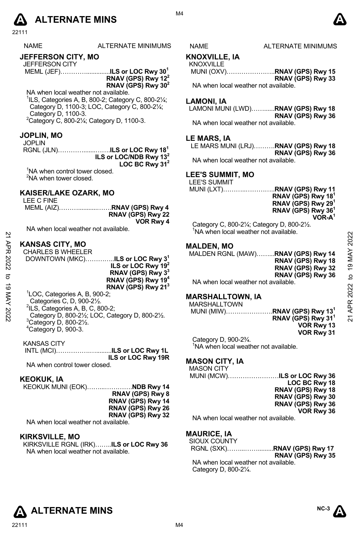

| <b>NAME</b> | ALTERNATE MINIMUM |
|-------------|-------------------|
|             |                   |

## **JEFFERSON CITY, MO**

JEFFERSON CITY MEML (JEF)…………..............**ILS or LOC Rwy 301 RNAV (GPS) Rwy 122**

**RNAV (GPS) Rwy 302**

NA when local weather not available.  $1$ ILS, Categories A, B, 800-2; Category C, 800-2 $\frac{1}{4}$ ; Category D, 1100-3; LOC, Category C, 800-2¼; Category D, 1100-3.  $2$ Category C, 800-2 $\frac{1}{4}$ ; Category D, 1100-3.

### **JOPLIN, MO**

#### JOPLIN

RGNL (JLN)………….......…….**ILS or LOC Rwy 181 ILS or LOC/NDB Rwy 132**  LOC BC Rwy 31<sup>2</sup>

<sup>1</sup>NA when control tower closed. <sup>2</sup>NA when tower closed.

### **KAISER/LAKE OZARK, MO**

|                   |  |  | LEE C FINE |
|-------------------|--|--|------------|
|                   |  |  |            |
| RNAV (GPS) Rwy 22 |  |  |            |
| VOR Rwy 4         |  |  |            |
|                   |  |  | .          |

NA when local weather not available.

### **KANSAS CITY, MO**

|                  |                                                                                                                                                                                                                                | <u>INA WILCH IUCAL WEALTEL HUL AVAIIAULE.</u>                                                                                                                  |                                         |
|------------------|--------------------------------------------------------------------------------------------------------------------------------------------------------------------------------------------------------------------------------|----------------------------------------------------------------------------------------------------------------------------------------------------------------|-----------------------------------------|
| ЯPR<br>2022<br>ಠ | <b>KANSAS CITY, MO</b><br><b>CHARLES B WHEELER</b><br>DOWNTOWN (MKC)ILS or LOC Rwy 3 <sup>1</sup><br>ILS or LOC Rwy $192$<br>RNAV (GPS) Rwy 3 <sup>3</sup><br>RNAV (GPS) Rwy 19 <sup>4</sup><br>RNAV (GPS) Rwy 21 <sup>3</sup> | <b>MALDEN, MO</b><br>MALDEN RGNL (MAW)RNAV (GPS) Rwy 14<br>RNAV (GPS) Rwy 18<br>RNAV (GPS) Rwy 32<br>RNAV (GPS) Rwy 36<br>NA when local weather not available. | 2022<br>19 MAY<br>$\overline{a}$<br>022 |
| MAY 2022         | <sup>1</sup> LOC, Categories A, B, 900-2;<br>Categories C, D, 900-21/2.<br>$2$ ILS, Categories A, B, C, 800-2;<br>Category D, 800-21/2; LOC, Category D, 800-21/2.<br>$30 - 1 - 7 - 7 - 000 - 01/$                             | <b>MARSHALLTOWN, IA</b><br><b>MARSHALLTOWN</b><br>RNAV (GPS) Rwy 13 $^{\rm 1}$<br>$MUNI (MIW)$<br>RNAV (GPS) Rwy 31 <sup>1</sup>                               | APR<br>ম                                |

 Category D, 800-2½; LOC, Category D, 800-2½. 3  $3$ Category D, 800-2 $\frac{1}{2}$ . 4 Category D, 900-3.

### KANSAS CITY

|                               | ILS or LOC Rwy 19R |
|-------------------------------|--------------------|
| MA uban santral taurar alasad |                    |

NA when control tower closed.

### **KEOKUK, IA**

KEOKUK MUNI (EOK)……...………….**NDB Rwy 14 RNAV (GPS) Rwy 8 RNAV (GPS) Rwy 14 RNAV (GPS) Rwy 26 RNAV (GPS) Rwy 32**  NA when local weather not available.

**KIRKSVILLE, MO** 

KIRKSVILLE RGNL (IRK)……..**ILS or LOC Rwy 36**  NA when local weather not available.

S NAME ALTERNATE MINIMUMS

#### **KNOXVILLE, IA**  KNOXVILLE

| <b>NNUAVILLE</b>                    |                             |
|-------------------------------------|-----------------------------|
|                                     | MUNI (OXV)RNAV (GPS) Rwy 15 |
|                                     | RNAV (GPS) Rwy 33           |
| NA when local weather not available |                             |

NA when local weather not available.

### **LAMONI, IA**

LAMONI MUNI (LWD)……......**RNAV (GPS) Rwy 18 RNAV (GPS) Rwy 36** 

NA when local weather not available.

### **LE MARS, IA**

LE MARS MUNI (LRJ)……….**RNAV (GPS) Rwy 18 RNAV (GPS) Rwy 36**  NA when local weather not available.

### **LEE'S SUMMIT, MO**

LEE'S SUMMIT

MUNI (LXT)………..…………..**RNAV (GPS) Rwy 11**

**RNAV (GPS) Rwy 181 RNAV (GPS) Rwy 291 RNAV (GPS) Rwy 361 VOR-A1** 

Category C, 800-2¼; Category D, 800-2½. 1 <sup>1</sup>NA when local weather not available.

### **MALDEN, MO**

# **MARSHALLTOWN, IA**

| MARSHALLTOWN       |                                          |
|--------------------|------------------------------------------|
|                    | MUNI (MIW)RNAV (GPS) Rwy 13 <sup>1</sup> |
|                    | RNAV (GPS) Rwy 31 <sup>1</sup>           |
|                    | VOR Rwy 13                               |
|                    | VOR Rwy 31                               |
| Category D. 900-2% |                                          |

Category D, 900-2¾. 1 NA when local weather not available.

### **MASON CITY, IA**

MASON CITY MUNI (MCW)……………………**ILS or LOC Rwy 36** 

**LOC BC Rwy 18 RNAV (GPS) Rwy 18 RNAV (GPS) Rwy 30 RNAV (GPS) Rwy 36 VOR Rwy 36** 

NA when local weather not available.

### **MAURICE, IA**

| SIOUX COUNTY                         |                   |
|--------------------------------------|-------------------|
|                                      |                   |
|                                      | RNAV (GPS) Rwy 35 |
| NA when local weather not available. |                   |
| Category D. 800-21/4.                |                   |





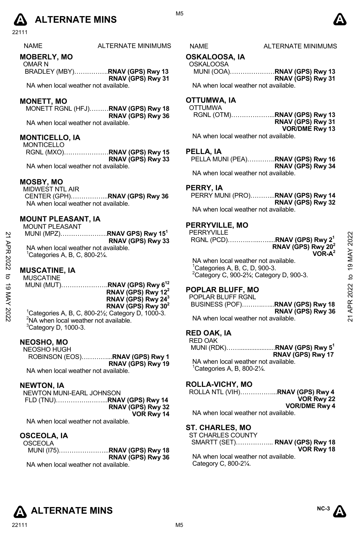

| <b>NAME</b> | ALTERNATE MINIMUM |
|-------------|-------------------|
|             |                   |

### **MOBERLY, MO**

OMAR N BRADLEY (MBY)…………….**RNAV (GPS) Rwy 13 RNAV (GPS) Rwy 31** 

NA when local weather not available.

### **MONETT, MO**

MONETT RGNL (HFJ)………**RNAV (GPS) Rwy 18 RNAV (GPS) Rwy 36**  NA when local weather not available.

### **MONTICELLO, IA**

MONTICELLO RGNL (MXO)…………………**RNAV (GPS) Rwy 15 RNAV (GPS) Rwy 33** 

NA when local weather not available.

#### **MOSBY, MO**

MIDWEST NTL AIR

 CENTER (GPH)……………...**RNAV (GPS) Rwy 36**  NA when local weather not available.

## **MOUNT PLEASANT, IA**

| <b>MOUNT PLEASANT</b>                              |                                         |
|----------------------------------------------------|-----------------------------------------|
|                                                    | MUNI (MPZ)RNAV GPS) Rwy 15 <sup>1</sup> |
|                                                    | RNAV (GPS) Rwy 33                       |
| NA when local weather not available.               |                                         |
| ${}^{1}$ Categories A, B, C, 800-2 $\frac{1}{4}$ . |                                         |

### **MUSCATINE, IA**

MUSCATINE MUNI (MUT)………………….**RNAV (GPS) Rwy 612 RNAV (GPS) Rwy 122 RNAV (GPS) Rwy 243 RNAV (GPS) Rwy 302**   $^{1}$ Categories A, B, C, 800-2½; Category D, 1000-3.

 $2$ NA when local weather not available.  ${}^{3}$ Category D, 1000-3.

### **NEOSHO, MO**

NEOSHO HUGH ROBINSON (EOS)…………...**RNAV (GPS) Rwy 1 RNAV (GPS) Rwy 19**  NA when local weather not available.

### **NEWTON, IA**

NEWTON MUNI-EARL JOHNSON FLD (TNU)…………….……...**RNAV (GPS) Rwy 14 RNAV (GPS) Rwy 32 VOR Rwy 14** 

NA when local weather not available.

### **OSCEOLA, IA**

| OSCEOLA                              |                   |
|--------------------------------------|-------------------|
|                                      |                   |
|                                      | RNAV (GPS) Rwy 36 |
| NA when local weather not available. |                   |

### S NAME ALTERNATE MINIMUMS

### **OSKALOOSA, IA**

| <b>OSKALOOSA</b>                     |                   |
|--------------------------------------|-------------------|
| MUNI (OOA)RNAV (GPS) Rwy 13          |                   |
|                                      | RNAV (GPS) Rwy 31 |
| NA when local weather not available. |                   |

### **OTTUMWA, IA**

| OTTUMWA                              |                       |
|--------------------------------------|-----------------------|
|                                      |                       |
|                                      | RNAV (GPS) Rwy 31     |
|                                      | <b>VOR/DME Rwy 13</b> |
| NA when local weather not available. |                       |

#### **PELLA, IA**

| PELLA MUNI (PEA)RNAV (GPS) Rwy 16    |                   |
|--------------------------------------|-------------------|
|                                      | RNAV (GPS) Rwy 34 |
| NA when local weather not available. |                   |

### **PERRY, IA**

PERRY MUNI (PRO)………...**RNAV (GPS) Rwy 14 RNAV (GPS) Rwy 32**  NA when local weather not available.

### **PERRYVILLE, MO**

PERRYVILLE RGNL (PCD)……….…...….....**RNAV (GPS) Rwy 21 RNAV (GPS) Rwy 202 VOR-A2**  NA when local weather not available. 1 Categories A, B, C, D, 900-3.  $2$ Category C, 900-2 $\frac{3}{4}$ ; Category D, 900-3. 21 APR 2022 to 19 MAY 202221 APR 2022 to 19 MAY 2022

### **POPLAR BLUFF, MO**

| POPLAR BLUFF RGNL                    |                   |
|--------------------------------------|-------------------|
|                                      |                   |
|                                      | RNAV (GPS) Rwy 36 |
| NA when local weather not available. |                   |

### **RED OAK, IA**

RED OAK MUNI (RDK)…….....................**RNAV (GPS) Rwy 51 RNAV (GPS) Rwy 17** 

NA when local weather not available.  $1$ Categories A, B, 800-2 $\frac{1}{4}$ .

### **ROLLA-VICHY, MO**

| ROLLA NTL (VIH)RNAV (GPS) Rwy 4 |  |
|---------------------------------|--|
| VOR Rwy 22                      |  |
| <b>VOR/DME Rwy 4</b>            |  |

NA when local weather not available.

### **ST. CHARLES, MO**

| ST CHARLES COUNTY                    |            |
|--------------------------------------|------------|
| SMARTT (SET) RNAV (GPS) Rwy 18       |            |
|                                      | VOR Rwy 18 |
| NA when local weather not available. |            |
| Category C, 800-21/4.                |            |





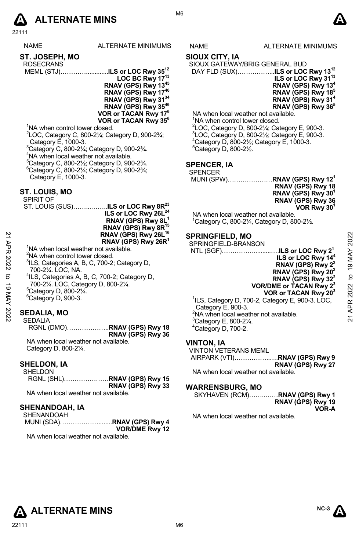# **A** ALTERNATE MINS  $\bullet$

22111

NAME ALTERNATE MINIMUMS NAME ALTERNATE MINIMUMS

| ST. JOSEPH, MO |
|----------------|
| ---------      |

- ROSECRANS MEML (STJ)………….............**ILS or LOC Rwy 3512**
	- **LOC BC Rwy 1713 RNAV (GPS) Rwy 1345 RNAV (GPS) Rwy 1746 RNAV (GPS) Rwy 3134 RNAV (GPS) Rwy 3546 VOR or TACAN Rwy 176 VOR or TACAN Rwy 356**

<sup>1</sup>NA when control tower closed.

 LOC, Category C, 800-2¼; Category D, 900-2¾; Category E, 1000-3. Category C, 800-2¼; Category D, 900-2¾. NA when local weather not available. Category C, 800-2½; Category D, 900-2¾. Category C, 800-2¼; Category D, 900-2¾;

Category E, 1000-3.

### **ST. LOUIS, MO**

| SPIRIT OF |                                                   |
|-----------|---------------------------------------------------|
|           | ST. LOUIS (SUS)ILS or LOC Rwy 8R <sup>23</sup>    |
|           | ILS or LOC Rwy 26L <sup>24</sup>                  |
|           | RNAV (GPS) Rwy 8L <sup>1</sup>                    |
|           | RNAV (GPS) Rwy 8R <sup>15</sup>                   |
|           | RNAV (GPS) Rwy 26L <sup>16</sup>                  |
|           | RNAV (GPS) Rwy 26R <sup>1</sup>                   |
|           | <sup>1</sup> NA when local weather not available. |

- <sup>3</sup>ILS, Categories A, B, C, 700-2; Category D, 700-2¼. LOC, NA.
- 4 ILS, Categories A, B, C, 700-2; Category D,
- 700-2¼. LOC, Category D, 800-2¼.
- 5 Category D, 800-2¼.
- 6 Category D, 900-3.

## **SEDALIA, MO**

SEDALIA RGNL (DMO)………………..**RNAV (GPS) Rwy 18 RNAV (GPS) Rwy 36**  NA when local weather not available. Category D, 800-2¼.

### **SHELDON, IA**

SHELDON RGNL (SHL)…………………**RNAV (GPS) Rwy 15 RNAV (GPS) Rwy 33**  NA when local weather not available

### **SHENANDOAH, IA**

|                       |  | <b>SHENANDOAH</b> |  |
|-----------------------|--|-------------------|--|
|                       |  |                   |  |
| <b>VOR/DME Rwy 12</b> |  |                   |  |
|                       |  |                   |  |

NA when local weather not available.

### **SIOUX CITY, IA**

SIOUX GATEWAY/BRIG GENERAL BUD

 DAY FLD (SUX)……………...**ILS or LOC Rwy 1312 ILS or LOC Rwy 3113 RNAV (GPS) Rwy 134 RNAV (GPS) Rwy 185 RNAV (GPS) Rwy 314 RNAV (GPS) Rwy 365** 

NA when local weather not available. <sup>1</sup>NA when control tower closed.

<sup>2</sup> LOC, Category D, 800-2<sup>1</sup>/<sub>2</sub>; Category E, 900-3.<br><sup>3</sup> LOC, Category D, 800, 21/<sub>2</sub>; Category E, 900, 3. LOC, Category D, 800-2½; Category E, 900-3. 4 Category D, 800-2½; Category E, 1000-3.  $5$ Category D, 800-2 $\frac{1}{2}$ .

### **SPENCER, IA**

SPENCER

MUNI (SPW)…………………**RNAV (GPS) Rwy 121 RNAV (GPS) Rwy 18 RNAV (GPS) Rwy 301 RNAV (GPS) Rwy 36 VOR Rwy 301**

NA when local weather not available.  $1$ Category C, 800-2 $\frac{1}{4}$ , Category D, 800-2 $\frac{1}{2}$ .

### **SPRINGFIELD, MO**

| 2<br>APR   | RNAV (GPS) Rwy 26L <sup>16</sup><br>RNAV (GPS) Rwy 26R <sup>1</sup><br><sup>1</sup> NA when local weather not available. | <b>SPRINGFIELD, MO</b><br>SPRINGFIELD-BRANSON                | 2022           |
|------------|--------------------------------------------------------------------------------------------------------------------------|--------------------------------------------------------------|----------------|
|            | <sup>2</sup> NA when control tower closed.                                                                               |                                                              | MAY            |
|            | <sup>3</sup> ILS, Categories A, B, C, 700-2; Category D,                                                                 | ILS or LOC Rwy 14 <sup>4</sup>                               |                |
| 2022       |                                                                                                                          | RNAV (GPS) Rwy 2 <sup>2</sup>                                | $\overline{9}$ |
|            | 700-21/4. LOC. NA.                                                                                                       | RNAV (GPS) Rwy 20 <sup>2</sup>                               |                |
| ನ          | <sup>4</sup> ILS, Categories A, B, C, 700-2; Category D,                                                                 | RNAV (GPS) Rwy 32 <sup>2</sup>                               | ೆ              |
| ಠ          | 700-21/4. LOC, Category D, 800-21/4.                                                                                     | VOR/DME or TACAN Rwy 2 <sup>3</sup>                          |                |
|            | <sup>5</sup> Category D, 800-21/4.                                                                                       | VOR or TACAN Rwy 203                                         | 2022           |
| <b>NAY</b> | <sup>6</sup> Category D, 900-3.                                                                                          | <sup>1</sup> ILS, Category D, 700-2, Category E, 900-3. LOC, | ≃              |
|            |                                                                                                                          | Category E, 900-3.                                           |                |
| 2022       | <b>SEDALIA, MO</b>                                                                                                       | <sup>2</sup> NA when local weather not available.            |                |
|            | SEDALIA                                                                                                                  | $3$ Catogon E 800 21/                                        | ম              |

# **VOR or TACAN Rwy 203**

<sup>1</sup>ILS, Category D, 700-2, Category E, 900-3. LOC, Category E, 900-3. <sup>2</sup>NA when local weather not available.  $3$ Category E, 800-2 $\frac{1}{4}$ . 4 Category D, 700-2.

### **VINTON, IA**

VINTON VETERANS MEML

 AIRPARK (VTI)……………..….**RNAV (GPS) Rwy 9 RNAV (GPS) Rwy 27** 

NA when local weather not available.

### **WARRENSBURG, MO**

SKYHAVEN (RCM)……..……**RNAV (GPS) Rwy 1 RNAV (GPS) Rwy 19 VOR-A** 

NA when local weather not available.